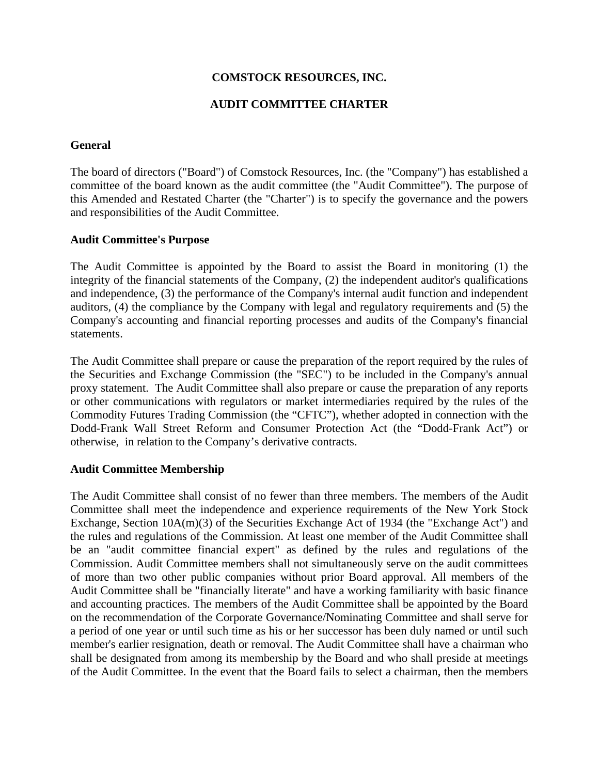## **COMSTOCK RESOURCES, INC.**

## **AUDIT COMMITTEE CHARTER**

### **General**

The board of directors ("Board") of Comstock Resources, Inc. (the "Company") has established a committee of the board known as the audit committee (the "Audit Committee"). The purpose of this Amended and Restated Charter (the "Charter") is to specify the governance and the powers and responsibilities of the Audit Committee.

#### **Audit Committee's Purpose**

The Audit Committee is appointed by the Board to assist the Board in monitoring (1) the integrity of the financial statements of the Company, (2) the independent auditor's qualifications and independence, (3) the performance of the Company's internal audit function and independent auditors, (4) the compliance by the Company with legal and regulatory requirements and (5) the Company's accounting and financial reporting processes and audits of the Company's financial statements.

The Audit Committee shall prepare or cause the preparation of the report required by the rules of the Securities and Exchange Commission (the "SEC") to be included in the Company's annual proxy statement. The Audit Committee shall also prepare or cause the preparation of any reports or other communications with regulators or market intermediaries required by the rules of the Commodity Futures Trading Commission (the "CFTC"), whether adopted in connection with the Dodd-Frank Wall Street Reform and Consumer Protection Act (the "Dodd-Frank Act") or otherwise, in relation to the Company's derivative contracts.

### **Audit Committee Membership**

The Audit Committee shall consist of no fewer than three members. The members of the Audit Committee shall meet the independence and experience requirements of the New York Stock Exchange, Section 10A(m)(3) of the Securities Exchange Act of 1934 (the "Exchange Act") and the rules and regulations of the Commission. At least one member of the Audit Committee shall be an "audit committee financial expert" as defined by the rules and regulations of the Commission. Audit Committee members shall not simultaneously serve on the audit committees of more than two other public companies without prior Board approval. All members of the Audit Committee shall be "financially literate" and have a working familiarity with basic finance and accounting practices. The members of the Audit Committee shall be appointed by the Board on the recommendation of the Corporate Governance/Nominating Committee and shall serve for a period of one year or until such time as his or her successor has been duly named or until such member's earlier resignation, death or removal. The Audit Committee shall have a chairman who shall be designated from among its membership by the Board and who shall preside at meetings of the Audit Committee. In the event that the Board fails to select a chairman, then the members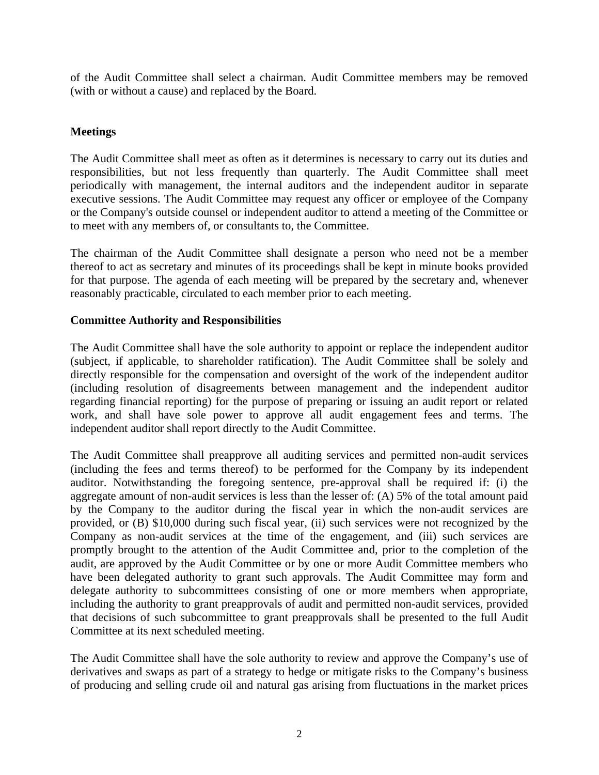of the Audit Committee shall select a chairman. Audit Committee members may be removed (with or without a cause) and replaced by the Board.

# **Meetings**

The Audit Committee shall meet as often as it determines is necessary to carry out its duties and responsibilities, but not less frequently than quarterly. The Audit Committee shall meet periodically with management, the internal auditors and the independent auditor in separate executive sessions. The Audit Committee may request any officer or employee of the Company or the Company's outside counsel or independent auditor to attend a meeting of the Committee or to meet with any members of, or consultants to, the Committee.

The chairman of the Audit Committee shall designate a person who need not be a member thereof to act as secretary and minutes of its proceedings shall be kept in minute books provided for that purpose. The agenda of each meeting will be prepared by the secretary and, whenever reasonably practicable, circulated to each member prior to each meeting.

### **Committee Authority and Responsibilities**

The Audit Committee shall have the sole authority to appoint or replace the independent auditor (subject, if applicable, to shareholder ratification). The Audit Committee shall be solely and directly responsible for the compensation and oversight of the work of the independent auditor (including resolution of disagreements between management and the independent auditor regarding financial reporting) for the purpose of preparing or issuing an audit report or related work, and shall have sole power to approve all audit engagement fees and terms. The independent auditor shall report directly to the Audit Committee.

The Audit Committee shall preapprove all auditing services and permitted non-audit services (including the fees and terms thereof) to be performed for the Company by its independent auditor. Notwithstanding the foregoing sentence, pre-approval shall be required if: (i) the aggregate amount of non-audit services is less than the lesser of: (A) 5% of the total amount paid by the Company to the auditor during the fiscal year in which the non-audit services are provided, or (B) \$10,000 during such fiscal year, (ii) such services were not recognized by the Company as non-audit services at the time of the engagement, and (iii) such services are promptly brought to the attention of the Audit Committee and, prior to the completion of the audit, are approved by the Audit Committee or by one or more Audit Committee members who have been delegated authority to grant such approvals. The Audit Committee may form and delegate authority to subcommittees consisting of one or more members when appropriate, including the authority to grant preapprovals of audit and permitted non-audit services, provided that decisions of such subcommittee to grant preapprovals shall be presented to the full Audit Committee at its next scheduled meeting.

The Audit Committee shall have the sole authority to review and approve the Company's use of derivatives and swaps as part of a strategy to hedge or mitigate risks to the Company's business of producing and selling crude oil and natural gas arising from fluctuations in the market prices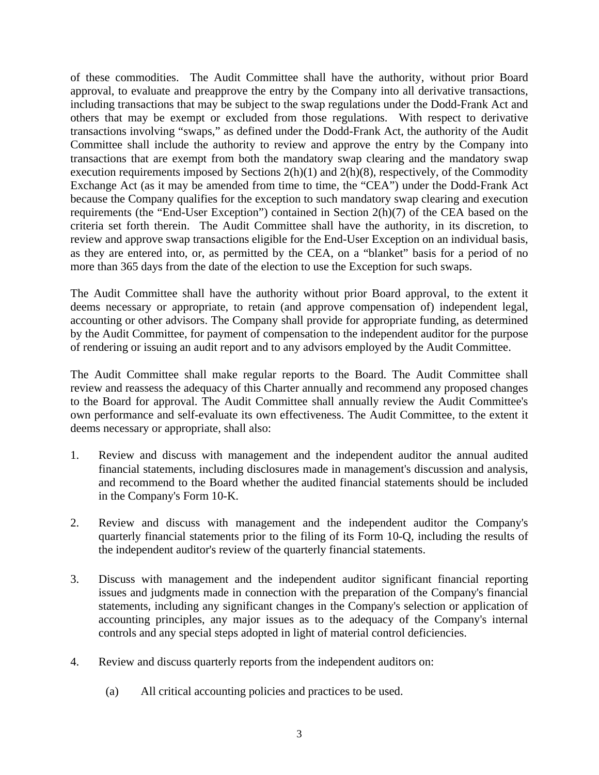of these commodities. The Audit Committee shall have the authority, without prior Board approval, to evaluate and preapprove the entry by the Company into all derivative transactions, including transactions that may be subject to the swap regulations under the Dodd-Frank Act and others that may be exempt or excluded from those regulations. With respect to derivative transactions involving "swaps," as defined under the Dodd-Frank Act, the authority of the Audit Committee shall include the authority to review and approve the entry by the Company into transactions that are exempt from both the mandatory swap clearing and the mandatory swap execution requirements imposed by Sections  $2(h)(1)$  and  $2(h)(8)$ , respectively, of the Commodity Exchange Act (as it may be amended from time to time, the "CEA") under the Dodd-Frank Act because the Company qualifies for the exception to such mandatory swap clearing and execution requirements (the "End-User Exception") contained in Section 2(h)(7) of the CEA based on the criteria set forth therein. The Audit Committee shall have the authority, in its discretion, to review and approve swap transactions eligible for the End-User Exception on an individual basis, as they are entered into, or, as permitted by the CEA, on a "blanket" basis for a period of no more than 365 days from the date of the election to use the Exception for such swaps.

The Audit Committee shall have the authority without prior Board approval, to the extent it deems necessary or appropriate, to retain (and approve compensation of) independent legal, accounting or other advisors. The Company shall provide for appropriate funding, as determined by the Audit Committee, for payment of compensation to the independent auditor for the purpose of rendering or issuing an audit report and to any advisors employed by the Audit Committee.

The Audit Committee shall make regular reports to the Board. The Audit Committee shall review and reassess the adequacy of this Charter annually and recommend any proposed changes to the Board for approval. The Audit Committee shall annually review the Audit Committee's own performance and self-evaluate its own effectiveness. The Audit Committee, to the extent it deems necessary or appropriate, shall also:

- 1. Review and discuss with management and the independent auditor the annual audited financial statements, including disclosures made in management's discussion and analysis, and recommend to the Board whether the audited financial statements should be included in the Company's Form 10-K.
- 2. Review and discuss with management and the independent auditor the Company's quarterly financial statements prior to the filing of its Form 10-Q, including the results of the independent auditor's review of the quarterly financial statements.
- 3. Discuss with management and the independent auditor significant financial reporting issues and judgments made in connection with the preparation of the Company's financial statements, including any significant changes in the Company's selection or application of accounting principles, any major issues as to the adequacy of the Company's internal controls and any special steps adopted in light of material control deficiencies.
- 4. Review and discuss quarterly reports from the independent auditors on:
	- (a) All critical accounting policies and practices to be used.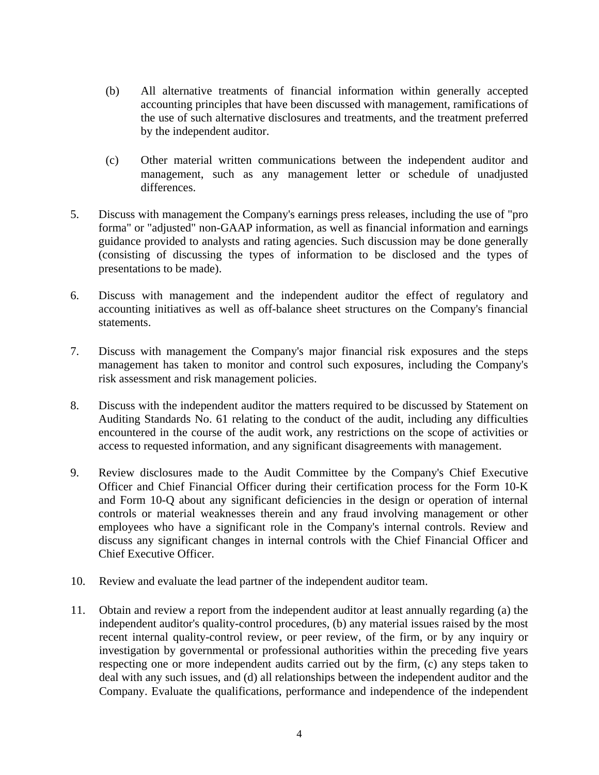- (b) All alternative treatments of financial information within generally accepted accounting principles that have been discussed with management, ramifications of the use of such alternative disclosures and treatments, and the treatment preferred by the independent auditor.
- (c) Other material written communications between the independent auditor and management, such as any management letter or schedule of unadjusted differences.
- 5. Discuss with management the Company's earnings press releases, including the use of "pro forma" or "adjusted" non-GAAP information, as well as financial information and earnings guidance provided to analysts and rating agencies. Such discussion may be done generally (consisting of discussing the types of information to be disclosed and the types of presentations to be made).
- 6. Discuss with management and the independent auditor the effect of regulatory and accounting initiatives as well as off-balance sheet structures on the Company's financial statements.
- 7. Discuss with management the Company's major financial risk exposures and the steps management has taken to monitor and control such exposures, including the Company's risk assessment and risk management policies.
- 8. Discuss with the independent auditor the matters required to be discussed by Statement on Auditing Standards No. 61 relating to the conduct of the audit, including any difficulties encountered in the course of the audit work, any restrictions on the scope of activities or access to requested information, and any significant disagreements with management.
- 9. Review disclosures made to the Audit Committee by the Company's Chief Executive Officer and Chief Financial Officer during their certification process for the Form 10-K and Form 10-Q about any significant deficiencies in the design or operation of internal controls or material weaknesses therein and any fraud involving management or other employees who have a significant role in the Company's internal controls. Review and discuss any significant changes in internal controls with the Chief Financial Officer and Chief Executive Officer.
- 10. Review and evaluate the lead partner of the independent auditor team.
- 11. Obtain and review a report from the independent auditor at least annually regarding (a) the independent auditor's quality-control procedures, (b) any material issues raised by the most recent internal quality-control review, or peer review, of the firm, or by any inquiry or investigation by governmental or professional authorities within the preceding five years respecting one or more independent audits carried out by the firm, (c) any steps taken to deal with any such issues, and (d) all relationships between the independent auditor and the Company. Evaluate the qualifications, performance and independence of the independent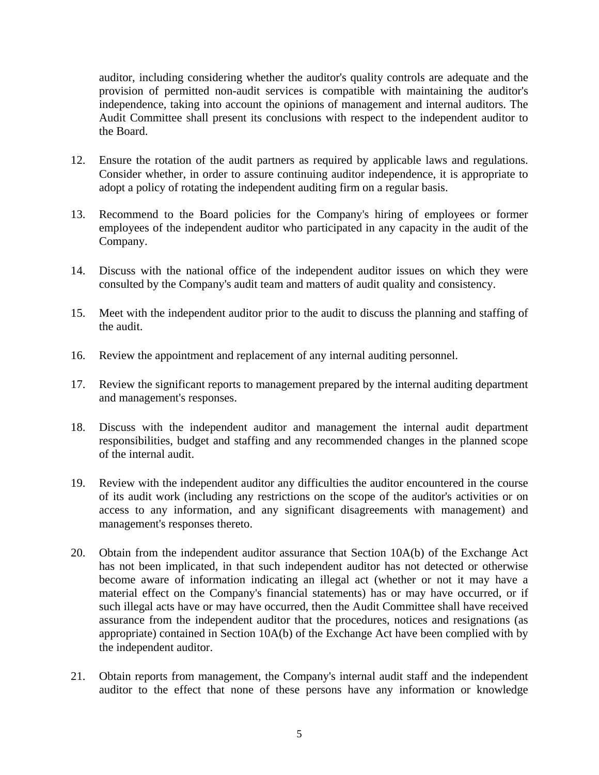auditor, including considering whether the auditor's quality controls are adequate and the provision of permitted non-audit services is compatible with maintaining the auditor's independence, taking into account the opinions of management and internal auditors. The Audit Committee shall present its conclusions with respect to the independent auditor to the Board.

- 12. Ensure the rotation of the audit partners as required by applicable laws and regulations. Consider whether, in order to assure continuing auditor independence, it is appropriate to adopt a policy of rotating the independent auditing firm on a regular basis.
- 13. Recommend to the Board policies for the Company's hiring of employees or former employees of the independent auditor who participated in any capacity in the audit of the Company.
- 14. Discuss with the national office of the independent auditor issues on which they were consulted by the Company's audit team and matters of audit quality and consistency.
- 15. Meet with the independent auditor prior to the audit to discuss the planning and staffing of the audit.
- 16. Review the appointment and replacement of any internal auditing personnel.
- 17. Review the significant reports to management prepared by the internal auditing department and management's responses.
- 18. Discuss with the independent auditor and management the internal audit department responsibilities, budget and staffing and any recommended changes in the planned scope of the internal audit.
- 19. Review with the independent auditor any difficulties the auditor encountered in the course of its audit work (including any restrictions on the scope of the auditor's activities or on access to any information, and any significant disagreements with management) and management's responses thereto.
- 20. Obtain from the independent auditor assurance that Section 10A(b) of the Exchange Act has not been implicated, in that such independent auditor has not detected or otherwise become aware of information indicating an illegal act (whether or not it may have a material effect on the Company's financial statements) has or may have occurred, or if such illegal acts have or may have occurred, then the Audit Committee shall have received assurance from the independent auditor that the procedures, notices and resignations (as appropriate) contained in Section 10A(b) of the Exchange Act have been complied with by the independent auditor.
- 21. Obtain reports from management, the Company's internal audit staff and the independent auditor to the effect that none of these persons have any information or knowledge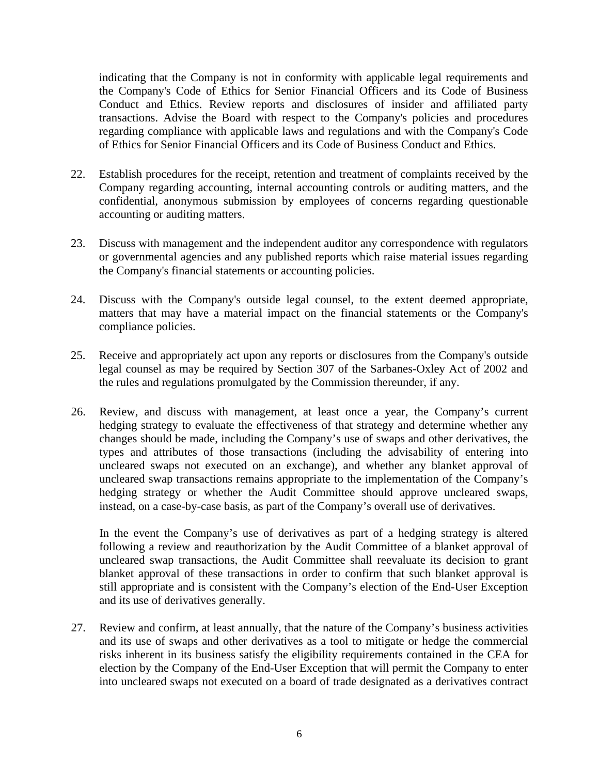indicating that the Company is not in conformity with applicable legal requirements and the Company's Code of Ethics for Senior Financial Officers and its Code of Business Conduct and Ethics. Review reports and disclosures of insider and affiliated party transactions. Advise the Board with respect to the Company's policies and procedures regarding compliance with applicable laws and regulations and with the Company's Code of Ethics for Senior Financial Officers and its Code of Business Conduct and Ethics.

- 22. Establish procedures for the receipt, retention and treatment of complaints received by the Company regarding accounting, internal accounting controls or auditing matters, and the confidential, anonymous submission by employees of concerns regarding questionable accounting or auditing matters.
- 23. Discuss with management and the independent auditor any correspondence with regulators or governmental agencies and any published reports which raise material issues regarding the Company's financial statements or accounting policies.
- 24. Discuss with the Company's outside legal counsel, to the extent deemed appropriate, matters that may have a material impact on the financial statements or the Company's compliance policies.
- 25. Receive and appropriately act upon any reports or disclosures from the Company's outside legal counsel as may be required by Section 307 of the Sarbanes-Oxley Act of 2002 and the rules and regulations promulgated by the Commission thereunder, if any.
- 26. Review, and discuss with management, at least once a year, the Company's current hedging strategy to evaluate the effectiveness of that strategy and determine whether any changes should be made, including the Company's use of swaps and other derivatives, the types and attributes of those transactions (including the advisability of entering into uncleared swaps not executed on an exchange), and whether any blanket approval of uncleared swap transactions remains appropriate to the implementation of the Company's hedging strategy or whether the Audit Committee should approve uncleared swaps, instead, on a case-by-case basis, as part of the Company's overall use of derivatives.

In the event the Company's use of derivatives as part of a hedging strategy is altered following a review and reauthorization by the Audit Committee of a blanket approval of uncleared swap transactions, the Audit Committee shall reevaluate its decision to grant blanket approval of these transactions in order to confirm that such blanket approval is still appropriate and is consistent with the Company's election of the End-User Exception and its use of derivatives generally.

27. Review and confirm, at least annually, that the nature of the Company's business activities and its use of swaps and other derivatives as a tool to mitigate or hedge the commercial risks inherent in its business satisfy the eligibility requirements contained in the CEA for election by the Company of the End-User Exception that will permit the Company to enter into uncleared swaps not executed on a board of trade designated as a derivatives contract